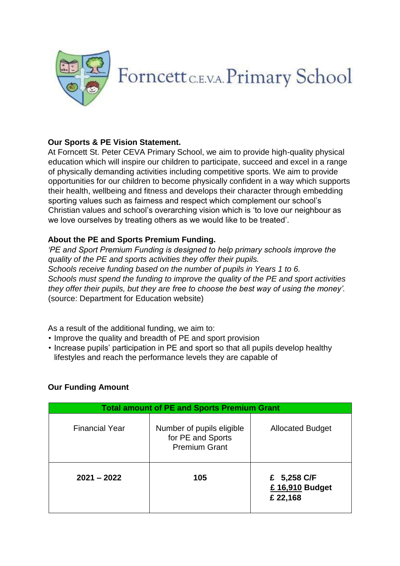

#### **Our Sports & PE Vision Statement.**

At Forncett St. Peter CEVA Primary School, we aim to provide high-quality physical education which will inspire our children to participate, succeed and excel in a range of physically demanding activities including competitive sports. We aim to provide opportunities for our children to become physically confident in a way which supports their health, wellbeing and fitness and develops their character through embedding sporting values such as fairness and respect which complement our school's Christian values and school's overarching vision which is 'to love our neighbour as we love ourselves by treating others as we would like to be treated'.

#### **About the PE and Sports Premium Funding.**

*'PE and Sport Premium Funding is designed to help primary schools improve the quality of the PE and sports activities they offer their pupils. Schools receive funding based on the number of pupils in Years 1 to 6. Schools must spend the funding to improve the quality of the PE and sport activities they offer their pupils, but they are free to choose the best way of using the money'.*  (source: Department for Education website)

As a result of the additional funding, we aim to:

- Improve the quality and breadth of PE and sport provision
- Increase pupils' participation in PE and sport so that all pupils develop healthy lifestyles and reach the performance levels they are capable of

#### **Our Funding Amount**

| <b>Total amount of PE and Sports Premium Grant</b> |                                                                        |                                            |  |  |  |
|----------------------------------------------------|------------------------------------------------------------------------|--------------------------------------------|--|--|--|
| <b>Financial Year</b>                              | Number of pupils eligible<br>for PE and Sports<br><b>Premium Grant</b> | <b>Allocated Budget</b>                    |  |  |  |
| $2021 - 2022$                                      | 105                                                                    | £ 5,258 C/F<br>£ 16,910 Budget<br>£ 22,168 |  |  |  |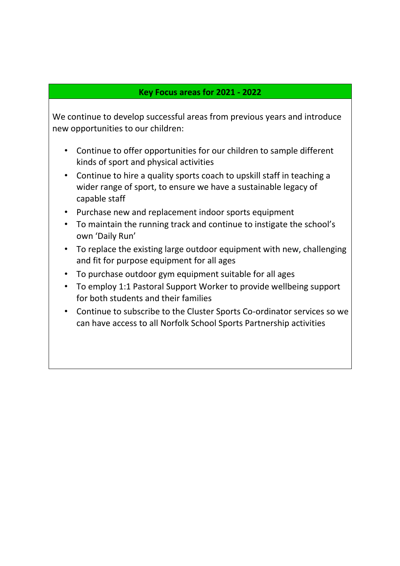## **Key Focus areas for 2021 - 2022**

We continue to develop successful areas from previous years and introduce new opportunities to our children:

- Continue to offer opportunities for our children to sample different kinds of sport and physical activities
- Continue to hire a quality sports coach to upskill staff in teaching a wider range of sport, to ensure we have a sustainable legacy of capable staff
- Purchase new and replacement indoor sports equipment
- To maintain the running track and continue to instigate the school's own 'Daily Run'
- To replace the existing large outdoor equipment with new, challenging and fit for purpose equipment for all ages
- To purchase outdoor gym equipment suitable for all ages
- To employ 1:1 Pastoral Support Worker to provide wellbeing support for both students and their families
- Continue to subscribe to the Cluster Sports Co-ordinator services so we can have access to all Norfolk School Sports Partnership activities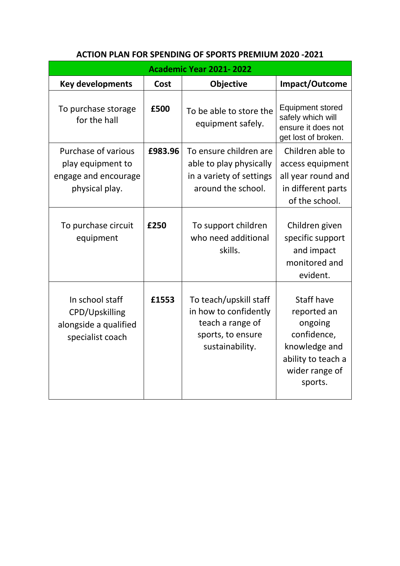| <b>Academic Year 2021-2022</b>                                                     |         |                                                                                                             |                                                                                                                         |  |  |  |
|------------------------------------------------------------------------------------|---------|-------------------------------------------------------------------------------------------------------------|-------------------------------------------------------------------------------------------------------------------------|--|--|--|
| <b>Key developments</b>                                                            | Cost    | <b>Objective</b>                                                                                            | Impact/Outcome                                                                                                          |  |  |  |
| To purchase storage<br>for the hall                                                | £500    | To be able to store the<br>equipment safely.                                                                | <b>Equipment stored</b><br>safely which will<br>ensure it does not<br>get lost of broken.                               |  |  |  |
| Purchase of various<br>play equipment to<br>engage and encourage<br>physical play. | £983.96 | To ensure children are<br>able to play physically<br>in a variety of settings<br>around the school.         | Children able to<br>access equipment<br>all year round and<br>in different parts<br>of the school.                      |  |  |  |
| To purchase circuit<br>equipment                                                   | £250    | To support children<br>who need additional<br>skills.                                                       | Children given<br>specific support<br>and impact<br>monitored and<br>evident.                                           |  |  |  |
| In school staff<br>CPD/Upskilling<br>alongside a qualified<br>specialist coach     | £1553   | To teach/upskill staff<br>in how to confidently<br>teach a range of<br>sports, to ensure<br>sustainability. | Staff have<br>reported an<br>ongoing<br>confidence,<br>knowledge and<br>ability to teach a<br>wider range of<br>sports. |  |  |  |

# **ACTION PLAN FOR SPENDING OF SPORTS PREMIUM 2020 -2021**